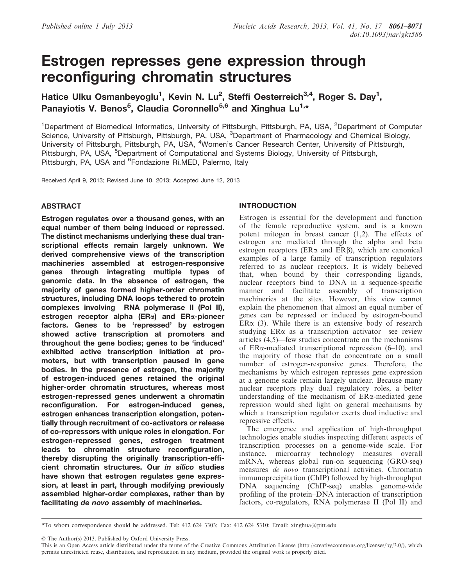# Estrogen represses gene expression through reconfiguring chromatin structures

Hatice Ulku Osmanbeyoglu<sup>1</sup>, Kevin N. Lu<sup>2</sup>, Steffi Oesterreich<sup>3,4</sup>, Roger S. Day<sup>1</sup>, Panayiotis V. Benos<sup>5</sup>, Claudia Coronnello<sup>5,6</sup> and Xinghua Lu<sup>1,\*</sup>

<sup>1</sup>Department of Biomedical Informatics, University of Pittsburgh, Pittsburgh, PA, USA, <sup>2</sup>Department of Computer Science, University of Pittsburgh, Pittsburgh, PA, USA, <sup>3</sup>Department of Pharmacology and Chemical Biology, University of Pittsburgh, Pittsburgh, PA, USA, <sup>4</sup>Women's Cancer Research Center, University of Pittsburgh, Pittsburgh, PA, USA, <sup>5</sup>Department of Computational and Systems Biology, University of Pittsburgh, Pittsburgh, PA, USA and <sup>6</sup>Fondazione Ri.MED, Palermo, Italy

Received April 9, 2013; Revised June 10, 2013; Accepted June 12, 2013

# ABSTRACT

Estrogen regulates over a thousand genes, with an equal number of them being induced or repressed. The distinct mechanisms underlying these dual transcriptional effects remain largely unknown. We derived comprehensive views of the transcription machineries assembled at estrogen-responsive genes through integrating multiple types of genomic data. In the absence of estrogen, the majority of genes formed higher-order chromatin structures, including DNA loops tethered to protein complexes involving RNA polymerase II (Pol II), estrogen receptor alpha ( $ER\alpha$ ) and  $ER\alpha$ -pioneer factors. Genes to be 'repressed' by estrogen showed active transcription at promoters and throughout the gene bodies; genes to be 'induced' exhibited active transcription initiation at promoters, but with transcription paused in gene bodies. In the presence of estrogen, the majority of estrogen-induced genes retained the original higher-order chromatin structures, whereas most estrogen-repressed genes underwent a chromatin reconfiguration. For estrogen-induced genes, estrogen enhances transcription elongation, potentially through recruitment of co-activators or release of co-repressors with unique roles in elongation. For estrogen-repressed genes, estrogen treatment leads to chromatin structure reconfiguration, thereby disrupting the originally transcription-efficient chromatin structures. Our in silico studies have shown that estrogen regulates gene expression, at least in part, through modifying previously assembled higher-order complexes, rather than by facilitating de novo assembly of machineries.

# INTRODUCTION

Estrogen is essential for the development and function of the female reproductive system, and is a known potent mitogen in breast cancer [\(1,2](#page-9-0)). The effects of estrogen are mediated through the alpha and beta estrogen receptors ( $ER\alpha$  and  $ER\beta$ ), which are canonical examples of a large family of transcription regulators referred to as nuclear receptors. It is widely believed that, when bound by their corresponding ligands, nuclear receptors bind to DNA in a sequence-specific manner and facilitate assembly of transcription machineries at the sites. However, this view cannot explain the phenomenon that almost an equal number of genes can be repressed or induced by estrogen-bound  $ER\alpha$  [\(3\)](#page-9-0). While there is an extensive body of research studying  $ER\alpha$  as a transcription activator—see review articles [\(4,5\)](#page-9-0)—few studies concentrate on the mechanisms of  $ER\alpha$ -mediated transcriptional repression ([6–10\)](#page-9-0), and the majority of those that do concentrate on a small number of estrogen-responsive genes. Therefore, the mechanisms by which estrogen represses gene expression at a genome scale remain largely unclear. Because many nuclear receptors play dual regulatory roles, a better understanding of the mechanism of  $ER\alpha$ -mediated gene repression would shed light on general mechanisms by which a transcription regulator exerts dual inductive and repressive effects.

The emergence and application of high-throughput technologies enable studies inspecting different aspects of transcription processes on a genome-wide scale. For instance, microarray technology measures overall mRNA, whereas global run-on sequencing (GRO-seq) measures de novo transcriptional activities. Chromatin immunoprecipitation (ChIP) followed by high-throughput DNA sequencing (ChIP-seq) enables genome-wide profiling of the protein–DNA interaction of transcription factors, co-regulators, RNA polymerase II (Pol II) and

\*To whom correspondence should be addressed. Tel: 412 624 3303; Fax: 412 624 5310; Email: xinghua@pitt.edu

© The Author(s) 2013. Published by Oxford University Press.

This is an Open Access article distributed under the terms of the Creative Commons Attribution License (http://creativecommons.org/licenses/by/3.0/), which permits unrestricted reuse, distribution, and reproduction in any medium, provided the original work is properly cited.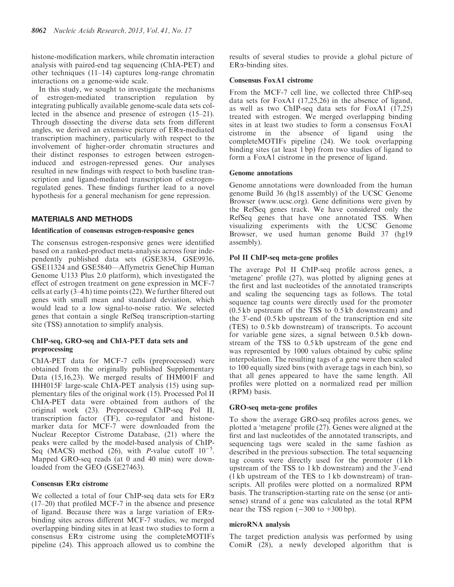histone-modification markers, while chromatin interaction analysis with paired-end tag sequencing (ChIA-PET) and other techniques [\(11–14](#page-9-0)) captures long-range chromatin interactions on a genome-wide scale.

In this study, we sought to investigate the mechanisms of estrogen-mediated transcription regulation by integrating publically available genome-scale data sets collected in the absence and presence of estrogen ([15–21](#page-9-0)). Through dissecting the diverse data sets from different angles, we derived an extensive picture of ERa-mediated transcription machinery, particularly with respect to the involvement of higher-order chromatin structures and their distinct responses to estrogen between estrogeninduced and estrogen-repressed genes. Our analyses resulted in new findings with respect to both baseline transcription and ligand-mediated transcription of estrogenregulated genes. These findings further lead to a novel hypothesis for a general mechanism for gene repression.

# MATERIALS AND METHODS

# Identification of consensus estrogen-responsive genes

The consensus estrogen-responsive genes were identified based on a ranked-product meta-analysis across four independently published data sets (GSE3834, GSE9936, GSE11324 and GSE5840—Affymetrix GeneChip Human Genome U133 Plus 2.0 platform), which investigated the effect of estrogen treatment on gene expression in MCF-7 cells at early  $(3-4 h)$  time points  $(22)$  $(22)$ . We further filtered out genes with small mean and standard deviation, which would lead to a low signal-to-noise ratio. We selected genes that contain a single RefSeq transcription-starting site (TSS) annotation to simplify analysis.

# ChIP-seq, GRO-seq and ChIA-PET data sets and preprocessing

ChIA-PET data for MCF-7 cells (preprocessed) were obtained from the originally published [Supplementary](http://nar.oxfordjournals.org/lookup/suppl/doi:10.1093/nar/gkt586/-/DC1) [Data](http://nar.oxfordjournals.org/lookup/suppl/doi:10.1093/nar/gkt586/-/DC1) ([15,](#page-9-0)[16,23](#page-10-0)). We merged results of IHM001F and IHH015F large-scale ChIA-PET analysis ([15\)](#page-9-0) using [sup](http://nar.oxfordjournals.org/lookup/suppl/doi:10.1093/nar/gkt586/-/DC1)[plementary files](http://nar.oxfordjournals.org/lookup/suppl/doi:10.1093/nar/gkt586/-/DC1) of the original work [\(15](#page-9-0)). Processed Pol II ChIA-PET data were obtained from authors of the original work [\(23](#page-10-0)). Preprocessed ChIP-seq Pol II, transcription factor (TF), co-regulator and histonemarker data for MCF-7 were downloaded from the Nuclear Receptor Cistrome Database, [\(21](#page-10-0)) where the peaks were called by the model-based analysis of ChIP-Seq (MACS) method [\(26](#page-10-0)), with *P*-value cutoff  $10^{-5}$ . Mapped GRO-seq reads (at 0 and 40 min) were downloaded from the GEO (GSE27463).

# Consensus ERa cistrome

We collected a total of four ChIP-seq data sets for  $ER\alpha$ ([17–20\)](#page-10-0) that profiled MCF-7 in the absence and presence of ligand. Because there was a large variation of  $ER\alpha$ binding sites across different MCF-7 studies, we merged overlapping binding sites in at least two studies to form a consensus ERa cistrome using the completeMOTIFs pipeline ([24](#page-10-0)). This approach allowed us to combine the

results of several studies to provide a global picture of  $ER\alpha$ -binding sites.

# Consensus FoxA1 cistrome

From the MCF-7 cell line, we collected three ChIP-seq data sets for FoxA1  $(17,25,26)$  $(17,25,26)$  $(17,25,26)$  $(17,25,26)$  in the absence of ligand, as well as two ChIP-seq data sets for FoxA1 ([17,25](#page-10-0)) treated with estrogen. We merged overlapping binding sites in at least two studies to form a consensus FoxA1 cistrome in the absence of ligand using the completeMOTIFs pipeline [\(24](#page-10-0)). We took overlapping binding sites (at least 1 bp) from two studies of ligand to form a FoxA1 cistrome in the presence of ligand.

# Genome annotations

Genome annotations were downloaded from the human genome Build 36 (hg18 assembly) of the UCSC Genome Browser (<www.ucsc.org>). Gene definitions were given by the RefSeq genes track. We have considered only the RefSeq genes that have one annotated TSS. When visualizing experiments with the UCSC Genome Browser, we used human genome Build 37 (hg19 assembly).

# Pol II ChIP-seq meta-gene profiles

The average Pol II ChIP-seq profile across genes, a 'metagene' profile ([27\)](#page-10-0), was plotted by aligning genes at the first and last nucleotides of the annotated transcripts and scaling the sequencing tags as follows. The total sequence tag counts were directly used for the promoter (0.5 kb upstream of the TSS to 0.5 kb downstream) and the 3'-end (0.5 kb upstream of the transcription end site (TES) to 0.5 kb downstream) of transcripts. To account for variable gene sizes, a signal between 0.5 kb downstream of the TSS to 0.5 kb upstream of the gene end was represented by 1000 values obtained by cubic spline interpolation. The resulting tags of a gene were then scaled to 100 equally sized bins (with average tags in each bin), so that all genes appeared to have the same length. All profiles were plotted on a normalized read per million (RPM) basis.

# GRO-seq meta-gene profiles

To show the average GRO-seq profiles across genes, we plotted a 'metagene' profile [\(27](#page-10-0)). Genes were aligned at the first and last nucleotides of the annotated transcripts, and sequencing tags were scaled in the same fashion as described in the previous subsection. The total sequencing tag counts were directly used for the promoter (1 kb upstream of the TSS to 1kb downstream) and the 3'-end (1 kb upstream of the TES to 1 kb downstream) of transcripts. All profiles were plotted on a normalized RPM basis. The transcription-starting rate on the sense (or antisense) strand of a gene was calculated as the total RPM near the TSS region  $(-300 \text{ to } +300 \text{ bp})$ .

# microRNA analysis

The target prediction analysis was performed by using ComiR [\(28](#page-10-0)), a newly developed algorithm that is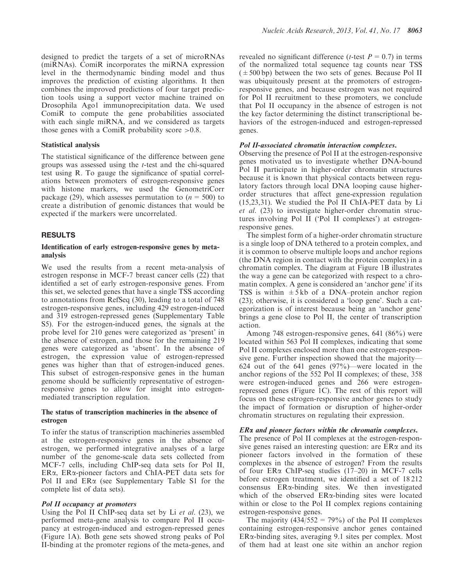designed to predict the targets of a set of microRNAs (miRNAs). ComiR incorporates the miRNA expression level in the thermodynamic binding model and thus improves the prediction of existing algorithms. It then combines the improved predictions of four target prediction tools using a support vector machine trained on Drosophila Ago1 immunoprecipitation data. We used ComiR to compute the gene probabilities associated with each single miRNA, and we considered as targets those genes with a ComiR probability score >0.8.

#### Statistical analysis

The statistical significance of the difference between gene groups was assessed using the t-test and the chi-squared test using R. To gauge the significance of spatial correlations between promoters of estrogen-responsive genes with histone markers, we used the GenometriCorr package [\(29](#page-10-0)), which assesses permutation to  $(n = 500)$  to create a distribution of genomic distances that would be expected if the markers were uncorrelated.

# RESULTS

#### Identification of early estrogen-responsive genes by metaanalysis

We used the results from a recent meta-analysis of estrogen response in MCF-7 breast cancer cells ([22\)](#page-10-0) that identified a set of early estrogen-responsive genes. From this set, we selected genes that have a single TSS according to annotations from RefSeq ([30\)](#page-10-0), leading to a total of 748 estrogen-responsive genes, including 429 estrogen-induced and 319 estrogen-repressed genes ([Supplementary Table](http://nar.oxfordjournals.org/lookup/suppl/doi:10.1093/nar/gkt586/-/DC1) [S5](http://nar.oxfordjournals.org/lookup/suppl/doi:10.1093/nar/gkt586/-/DC1)). For the estrogen-induced genes, the signals at the probe level for 210 genes were categorized as 'present' in the absence of estrogen, and those for the remaining 219 genes were categorized as 'absent'. In the absence of estrogen, the expression value of estrogen-repressed genes was higher than that of estrogen-induced genes. This subset of estrogen-responsive genes in the human genome should be sufficiently representative of estrogenresponsive genes to allow for insight into estrogenmediated transcription regulation.

# The status of transcription machineries in the absence of estrogen

To infer the status of transcription machineries assembled at the estrogen-responsive genes in the absence of estrogen, we performed integrative analyses of a large number of the genome-scale data sets collected from MCF-7 cells, including ChIP-seq data sets for Pol II, ERa, ERa-pioneer factors and ChIA-PET data sets for Pol II and ER $\alpha$  (see [Supplementary Table S1](http://nar.oxfordjournals.org/lookup/suppl/doi:10.1093/nar/gkt586/-/DC1) for the complete list of data sets).

#### Pol II occupancy at promoters

Using the Pol II ChIP-seq data set by Li *et al.* [\(23](#page-10-0)), we performed meta-gene analysis to compare Pol II occupancy at estrogen-induced and estrogen-repressed genes [\(Figure 1A](#page-3-0)). Both gene sets showed strong peaks of Pol II-binding at the promoter regions of the meta-genes, and revealed no significant difference (*t*-test  $P = 0.7$ ) in terms of the normalized total sequence tag counts near TSS  $(±500 bp)$  between the two sets of genes. Because Pol II was ubiquitously present at the promoters of estrogenresponsive genes, and because estrogen was not required for Pol II recruitment to these promoters, we conclude that Pol II occupancy in the absence of estrogen is not the key factor determining the distinct transcriptional behaviors of the estrogen-induced and estrogen-repressed genes.

#### Pol II-associated chromatin interaction complexes.

Observing the presence of Pol II at the estrogen-responsive genes motivated us to investigate whether DNA-bound Pol II participate in higher-order chromatin structures because it is known that physical contacts between regulatory factors through local DNA looping cause higherorder structures that affect gene-expression regulation [\(15](#page-9-0),[23,31](#page-10-0)). We studied the Pol II ChIA-PET data by Li et al. ([23\)](#page-10-0) to investigate higher-order chromatin structures involving Pol II ('Pol II complexes') at estrogenresponsive genes.

The simplest form of a higher-order chromatin structure is a single loop of DNA tethered to a protein complex, and it is common to observe multiple loops and anchor regions (the DNA region in contact with the protein complex) in a chromatin complex. The diagram at [Figure 1B](#page-3-0) illustrates the way a gene can be categorized with respect to a chromatin complex. A gene is considered an 'anchor gene' if its TSS is within  $\pm 5 \text{ kb}$  of a DNA–protein anchor region [\(23](#page-10-0)); otherwise, it is considered a 'loop gene'. Such a categorization is of interest because being an 'anchor gene' brings a gene close to Pol II, the center of transcription action.

Among 748 estrogen-responsive genes, 641 (86%) were located within 563 Pol II complexes, indicating that some Pol II complexes enclosed more than one estrogen-responsive gene. Further inspection showed that the majority— 624 out of the 641 genes  $(97%)$ —were located in the anchor regions of the 552 Pol II complexes; of these, 358 were estrogen-induced genes and 266 were estrogenrepressed genes ([Figure 1](#page-3-0)C). The rest of this report will focus on these estrogen-responsive anchor genes to study the impact of formation or disruption of higher-order chromatin structures on regulating their expression.

# ERa and pioneer factors within the chromatin complexes.

The presence of Pol II complexes at the estrogen-responsive genes raised an interesting question: are  $ER\alpha$  and its pioneer factors involved in the formation of these complexes in the absence of estrogen? From the results of four  $ER\alpha$  ChIP-seq studies ([17–20\)](#page-10-0) in MCF-7 cells before estrogen treatment, we identified a set of 18 212 consensus ERa-binding sites. We then investigated which of the observed ER $\alpha$ -binding sites were located within or close to the Pol II complex regions containing estrogen-responsive genes.

The majority  $(434/552 = 79\%)$  of the Pol II complexes containing estrogen-responsive anchor genes contained ERa-binding sites, averaging 9.1 sites per complex. Most of them had at least one site within an anchor region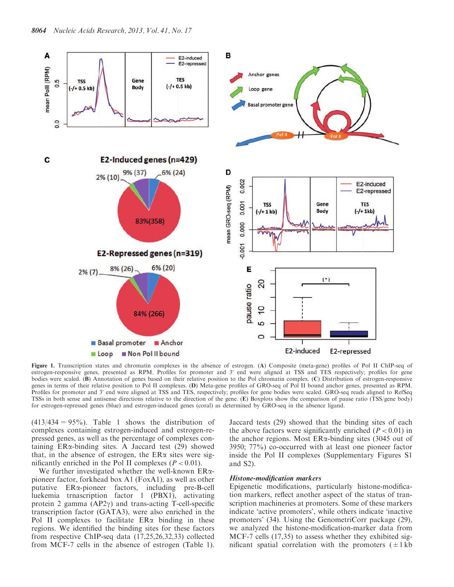<span id="page-3-0"></span>

Figure 1. Transcription states and chromatin complexes in the absence of estrogen. (A) Composite (meta-gene) profiles of Pol II ChIP-seq of estrogen-responsive genes, presented as RPM. Profiles for promoter and 3' end were aligned at TSS and TES respectively; profiles for gene bodies were scaled. (B) Annotation of genes based on their relative position to the Pol chromatin complex. (C) Distribution of estrogen-responsive genes in terms of their relative position to Pol II complexes. (D) Meta-gene profiles of GRO-seq of Pol II bound anchor genes, presented as RPM. Profiles for promoter and 3' end were aligned at TSS and TES, respectively; profiles for gene bodies were scaled. GRO-seq reads aligned to RefSeq TSSs in both sense and antisense directions relative to the direction of the gene. (E) Boxplots show the comparison of pause ratio (TSS/gene body) for estrogen-repressed genes (blue) and estrogen-induced genes (coral) as determined by GRO-seq in the absence ligand.

 $(413/434 = 95\%)$ . [Table 1](#page-4-0) shows the distribution of complexes containing estrogen-induced and estrogen-repressed genes, as well as the percentage of complexes containing  $ER\alpha$ -binding sites. A Jaccard test ([29\)](#page-10-0) showed that, in the absence of estrogen, the  $ER\alpha$  sites were significantly enriched in the Pol II complexes  $(P < 0.01)$ .

We further investigated whether the well-known ERapioneer factor, forkhead box A1 (FoxA1), as well as other putative ERa-pioneer factors, including pre-B-cell luekemia trnascription factor 1 (PBX1), activating protein 2 gamma  $(AP2\gamma)$  and trans-acting T-cell-specific transcription factor (GATA3), were also enriched in the Pol II complexes to facilitate  $ER\alpha$  binding in these regions. We identified the binding sites for these factors from respective ChIP-seq data [\(17](#page-10-0),[25,26,32,33\)](#page-10-0) collected from MCF-7 cells in the absence of estrogen ([Table 1](#page-4-0)).

Jaccard tests [\(29](#page-10-0)) showed that the binding sites of each the above factors were significantly enriched  $(P < 0.01)$  in the anchor regions. Most  $ER\alpha$ -binding sites (3045 out of 3950; 77%) co-occurred with at least one pioneer factor inside the Pol II complexes [\(Supplementary Figures S1](http://nar.oxfordjournals.org/lookup/suppl/doi:10.1093/nar/gkt586/-/DC1) and [S2](http://nar.oxfordjournals.org/lookup/suppl/doi:10.1093/nar/gkt586/-/DC1)).

#### Histone-modification markers

Epigenetic modifications, particularly histone-modification markers, reflect another aspect of the status of transcription machineries at promoters. Some of these markers indicate 'active promoters', while others indicate 'inactive promoters' [\(34](#page-10-0)). Using the GenometriCorr package ([29](#page-10-0)), we analyzed the histone-modification-marker data from MCF-7 cells ([17,35](#page-10-0)) to assess whether they exhibited significant spatial correlation with the promoters  $(\pm 1 \text{ kb})$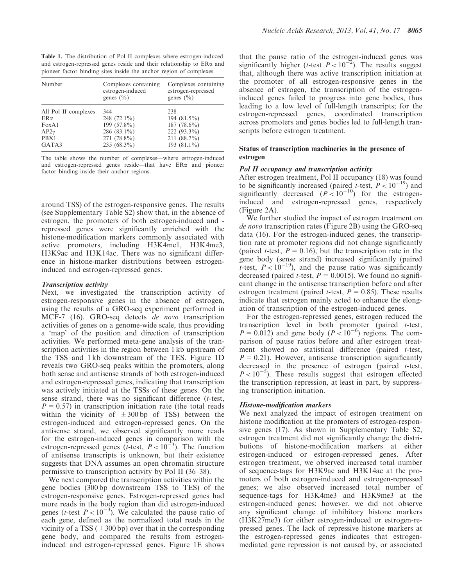<span id="page-4-0"></span>Table 1. The distribution of Pol II complexes where estrogen-induced and estrogen-repressed genes reside and their relationship to  $ER\alpha$  and pioneer factor binding sites inside the anchor region of complexes

| Number               | Complexes containing<br>estrogen-induced<br>genes $(\% )$ | Complexes containing<br>estrogen-repressed<br>genes $(\%)$ |
|----------------------|-----------------------------------------------------------|------------------------------------------------------------|
| All Pol II complexes | 344                                                       | 238                                                        |
| $ER\alpha$           | 248 $(72.1\%)$                                            | 194 $(81.5\%)$                                             |
| FoxA1                | 199 (57.8%)                                               | 187 $(78.6\%)$                                             |
| $AP2\gamma$          | 286 $(83.1\%)$                                            | 222 $(93.3\%)$                                             |
| PBX1                 | 271 (78.8%)                                               | $211 (88.7\%)$                                             |
| GATA3                | $235(68.3\%)$                                             | 193 $(81.1\%)$                                             |

The table shows the number of complexes—where estrogen-induced and estrogen-repressed genes reside—that have ERa and pioneer factor binding inside their anchor regions.

around TSS) of the estrogen-responsive genes. The results (see [Supplementary Table S2\)](http://nar.oxfordjournals.org/lookup/suppl/doi:10.1093/nar/gkt586/-/DC1) show that, in the absence of estrogen, the promoters of both estrogen-induced and repressed genes were significantly enriched with the histone-modification markers commonly associated with active promoters, including H3K4me1, H3K4me3, H3K9ac and H3K14ac. There was no significant difference in histone-marker distributions between estrogeninduced and estrogen-repressed genes.

### Transcription activity

Next, we investigated the transcription activity of estrogen-responsive genes in the absence of estrogen, using the results of a GRO-seq experiment performed in MCF-7 [\(16](#page-10-0)). GRO-seq detects de novo transcription activities of genes on a genome-wide scale, thus providing a 'map' of the position and direction of transcription activities. We performed meta-gene analysis of the transcription activities in the region between 1 kb upstream of the TSS and 1 kb downstream of the TES. [Figure 1D](#page-3-0) reveals two GRO-seq peaks within the promoters, along both sense and antisense strands of both estrogen-induced and estrogen-repressed genes, indicating that transcription was actively initiated at the TSSs of these genes. On the sense strand, there was no significant difference (t-test,  $P = 0.57$ ) in transcription initiation rate (the total reads within the vicinity of  $\pm 300$  bp of TSS) between the estrogen-induced and estrogen-repressed genes. On the antisense strand, we observed significantly more reads for the estrogen-induced genes in comparison with the estrogen-repressed genes (*t*-test,  $P < 10^{-3}$ ). The function of antisense transcripts is unknown, but their existence suggests that DNA assumes an open chromatin structure permissive to transcription activity by Pol II [\(36–38\)](#page-10-0).

We next compared the transcription activities within the gene bodies (300 bp downstream TSS to TES) of the estrogen-responsive genes. Estrogen-repressed genes had more reads in the body region than did estrogen-induced genes (*t*-test  $P < 10^{-3}$ ). We calculated the pause ratio of each gene, defined as the normalized total reads in the vicinity of a TSS ( $\pm$ 300 bp) over that in the corresponding gene body, and compared the results from estrogeninduced and estrogen-repressed genes. [Figure 1E](#page-3-0) shows

that the pause ratio of the estrogen-induced genes was significantly higher (*t*-test  $P < 10^{-2}$ ). The results suggest that, although there was active transcription initiation at the promoter of all estrogen-responsive genes in the absence of estrogen, the transcription of the estrogeninduced genes failed to progress into gene bodies, thus leading to a low level of full-length transcripts; for the estrogen-repressed genes, coordinated transcription across promoters and genes bodies led to full-length transcripts before estrogen treatment.

## Status of transcription machineries in the presence of estrogen

# Pol II occupancy and transcription activity

After estrogen treatment, Pol II occupancy [\(18](#page-10-0)) was found to be significantly increased (paired t-test,  $P < 10^{-19}$ ) and significantly decreased  $(P<10^{-10})$  for the estrogeninduced and estrogen-repressed genes, respectively [\(Figure 2](#page-5-0)A).

We further studied the impact of estrogen treatment on de novo transcription rates [\(Figure 2B](#page-5-0)) using the GRO-seq data ([16\)](#page-10-0). For the estrogen-induced genes, the transcription rate at promoter regions did not change significantly (paired *t*-test,  $P = 0.16$ ), but the transcription rate in the gene body (sense strand) increased significantly (paired t-test,  $P < 10^{-19}$ ), and the pause ratio was significantly decreased (paired *t*-test,  $P = 0.0015$ ). We found no significant change in the antisense transcription before and after estrogen treatment (paired *t*-test,  $P = 0.85$ ). These results indicate that estrogen mainly acted to enhance the elongation of transcription of the estrogen-induced genes.

For the estrogen-repressed genes, estrogen reduced the transcription level in both promoter (paired t-test,  $P = 0.012$ ) and gene body ( $P < 10^{-6}$ ) regions. The comparison of pause ratios before and after estrogen treatment showed no statistical difference (paired t-test,  $P = 0.21$ ). However, antisense transcription significantly decreased in the presence of estrogen (paired t-test,  $P < 10^{-5}$ ). These results suggest that estrogen effected the transcription repression, at least in part, by suppressing transcription initiation.

# Histone-modification markers

We next analyzed the impact of estrogen treatment on histone modification at the promoters of estrogen-responsive genes [\(17](#page-10-0)). As shown in [Supplementary Table S2](http://nar.oxfordjournals.org/lookup/suppl/doi:10.1093/nar/gkt586/-/DC1), estrogen treatment did not significantly change the distributions of histone-modification markers at either estrogen-induced or estrogen-repressed genes. After estrogen treatment, we observed increased total number of sequence-tags for H3K9ac and H3K14ac at the promoters of both estrogen-induced and estrogen-repressed genes; we also observed increased total number of sequence-tags for H3K4me3 and H3K9me3 at the estrogen-induced genes; however, we did not observe any significant change of inhibitory histone markers (H3K27me3) for either estrogen-induced or estrogen-repressed genes. The lack of repressive histone markers at the estrogen-repressed genes indicates that estrogenmediated gene repression is not caused by, or associated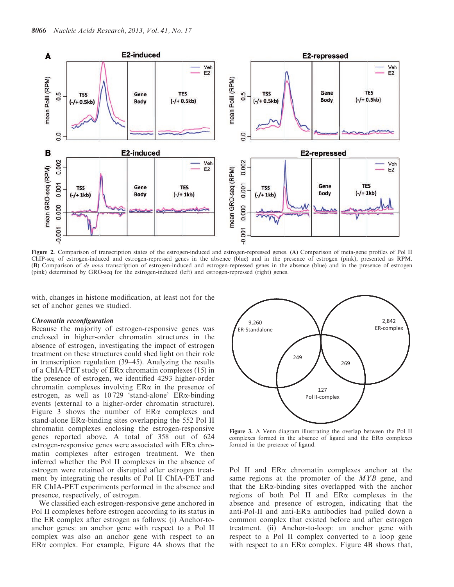<span id="page-5-0"></span>

Figure 2. Comparison of transcription states of the estrogen-induced and estrogen-repressed genes. (A) Comparison of meta-gene profiles of Pol II ChIP-seq of estrogen-induced and estrogen-repressed genes in the absence (blue) and in the presence of estrogen (pink), presented as RPM. (B) Comparison of de novo transcription of estrogen-induced and estrogen-repressed genes in the absence (blue) and in the presence of estrogen (pink) determined by GRO-seq for the estrogen-induced (left) and estrogen-repressed (right) genes.

with, changes in histone modification, at least not for the set of anchor genes we studied.

#### Chromatin reconfiguration

Because the majority of estrogen-responsive genes was enclosed in higher-order chromatin structures in the absence of estrogen, investigating the impact of estrogen treatment on these structures could shed light on their role in transcription regulation [\(39–45](#page-10-0)). Analyzing the results of a ChIA-PET study of ERa chromatin complexes ([15\)](#page-9-0) in the presence of estrogen, we identified 4293 higher-order chromatin complexes involving  $ER\alpha$  in the presence of estrogen, as well as 10 729 'stand-alone' ERa-binding events (external to a higher-order chromatin structure). Figure 3 shows the number of  $ER\alpha$  complexes and stand-alone ERa-binding sites overlapping the 552 Pol II chromatin complexes enclosing the estrogen-responsive genes reported above. A total of 358 out of 624 estrogen-responsive genes were associated with ERa chromatin complexes after estrogen treatment. We then inferred whether the Pol II complexes in the absence of estrogen were retained or disrupted after estrogen treatment by integrating the results of Pol II ChIA-PET and ER ChIA-PET experiments performed in the absence and presence, respectively, of estrogen.

We classified each estrogen-responsive gene anchored in Pol II complexes before estrogen according to its status in the ER complex after estrogen as follows: (i) Anchor-toanchor genes: an anchor gene with respect to a Pol II complex was also an anchor gene with respect to an  $ER\alpha$  complex. For example, [Figure 4](#page-6-0)A shows that the



Figure 3. A Venn diagram illustrating the overlap between the Pol II complexes formed in the absence of ligand and the  $ER\alpha$  complexes formed in the presence of ligand.

Pol II and ER $\alpha$  chromatin complexes anchor at the same regions at the promoter of the MYB gene, and that the ERa-binding sites overlapped with the anchor regions of both Pol II and  $ER\alpha$  complexes in the absence and presence of estrogen, indicating that the anti-Pol-II and anti- $ER\alpha$  antibodies had pulled down a common complex that existed before and after estrogen treatment. (ii) Anchor-to-loop: an anchor gene with respect to a Pol II complex converted to a loop gene with respect to an  $ER\alpha$  complex. [Figure 4](#page-6-0)B shows that,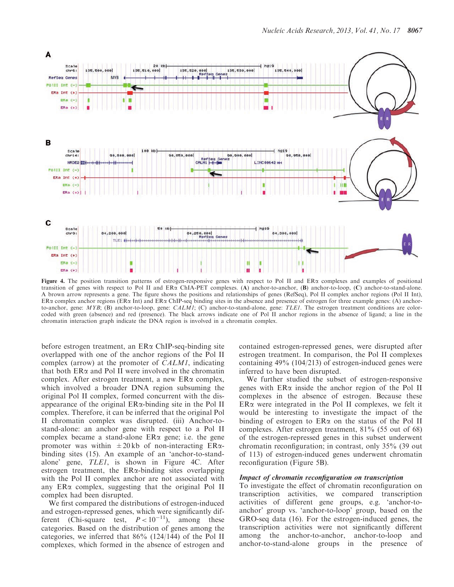<span id="page-6-0"></span>

Figure 4. The position transition patterns of estrogen-responsive genes with respect to Pol II and ER $\alpha$  complexes and examples of positional transition of genes with respect to Pol II and  $ER\alpha$  ChIA-PET complexes. (A) anchor-to-anchor, (B) anchor-to-loop, (C) anchor-to-stand-alone. A brown arrow represents a gene. The figure shows the positions and relationships of genes (RefSeq), Pol II complex anchor regions (Pol II Int),  $ER\alpha$  complex anchor regions ( $ER\alpha$  Int) and  $ER\alpha$  ChIP-seq binding sites in the absence and presence of estrogen for three example genes: (A) anchorto-anchor, gene: MYB; (B) anchor-to-loop, gene: CALM1; (C) anchor-to-stand-alone, gene: TLE1. The estrogen treatment conditions are colorcoded with green (absence) and red (presence). The black arrows indicate one of Pol II anchor regions in the absence of ligand; a line in the chromatin interaction graph indicate the DNA region is involved in a chromatin complex.

before estrogen treatment, an  $ER\alpha$  ChIP-seq-binding site overlapped with one of the anchor regions of the Pol II complex (arrow) at the promoter of CALM1, indicating that both  $ER\alpha$  and Pol II were involved in the chromatin complex. After estrogen treatment, a new ERa complex, which involved a broader DNA region subsuming the original Pol II complex, formed concurrent with the disappearance of the original ERa-binding site in the Pol II complex. Therefore, it can be inferred that the original Pol II chromatin complex was disrupted. (iii) Anchor-tostand-alone: an anchor gene with respect to a Pol II complex became a stand-alone  $ER\alpha$  gene; i.e. the gene promoter was within  $\pm 20$  kb of non-interacting ER $\alpha$ binding sites ([15\)](#page-9-0). An example of an 'anchor-to-standalone' gene, TLE1, is shown in Figure 4C. After estrogen treatment, the ERa-binding sites overlapping with the Pol II complex anchor are not associated with any  $ER\alpha$  complex, suggesting that the original Pol II complex had been disrupted.

We first compared the distributions of estrogen-induced and estrogen-repressed genes, which were significantly different (Chi-square test,  $P < 10^{-11}$ ), among these categories. Based on the distribution of genes among the categories, we inferred that 86% (124/144) of the Pol II complexes, which formed in the absence of estrogen and

contained estrogen-repressed genes, were disrupted after estrogen treatment. In comparison, the Pol II complexes containing 49% (104/213) of estrogen-induced genes were inferred to have been disrupted.

We further studied the subset of estrogen-responsive genes with  $ER\alpha$  inside the anchor region of the Pol II complexes in the absence of estrogen. Because these  $ER\alpha$  were integrated in the Pol II complexes, we felt it would be interesting to investigate the impact of the binding of estrogen to  $ER\alpha$  on the status of the Pol II complexes. After estrogen treatment, 81% (55 out of 68) of the estrogen-repressed genes in this subset underwent chromatin reconfiguration; in contrast, only 35% (39 out of 113) of estrogen-induced genes underwent chromatin reconfiguration ([Figure 5](#page-7-0)B).

### Impact of chromatin reconfiguration on transcription

To investigate the effect of chromatin reconfiguration on transcription activities, we compared transcription activities of different gene groups, e.g. 'anchor-toanchor' group vs. 'anchor-to-loop' group, based on the GRO-seq data [\(16](#page-10-0)). For the estrogen-induced genes, the transcription activities were not significantly different among the anchor-to-anchor, anchor-to-loop and anchor-to-stand-alone groups in the presence of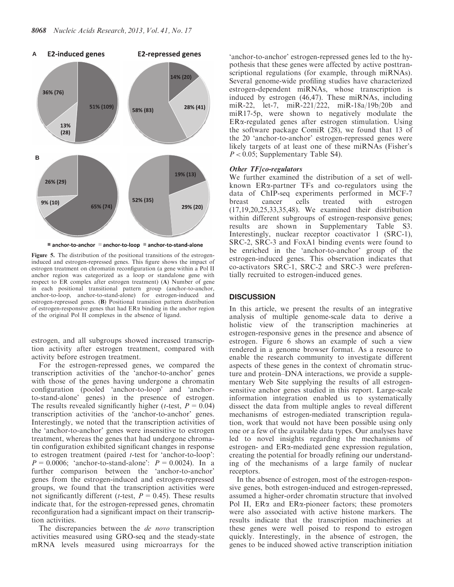<span id="page-7-0"></span>

■ anchor-to-anchor ■ anchor-to-loop ■ anchor-to-stand-alone

Figure 5. The distribution of the positional transitions of the estrogeninduced and estrogen-repressed genes. This figure shows the impact of estrogen treatment on chromatin reconfiguration (a gene within a Pol II anchor region was categorized as a loop or standalone gene with respect to ER complex after estrogen treatment) (A) Number of gene in each positional transitional pattern group (anchor-to-anchor, anchor-to-loop, anchor-to-stand-alone) for estrogen-induced and estrogen-repressed genes. (B) Positional transition pattern distribution of estrogen-responsive genes that had  $ER\alpha$  binding in the anchor region of the original Pol II complexes in the absence of ligand.

estrogen, and all subgroups showed increased transcription activity after estrogen treatment, compared with activity before estrogen treatment.

For the estrogen-repressed genes, we compared the transcription activities of the 'anchor-to-anchor' genes with those of the genes having undergone a chromatin configuration (pooled 'anchor-to-loop' and 'anchorto-stand-alone' genes) in the presence of estrogen. The results revealed significantly higher (*t*-test,  $P = 0.04$ ) transcription activities of the 'anchor-to-anchor' genes. Interestingly, we noted that the transcription activities of the 'anchor-to-anchor' genes were insensitive to estrogen treatment, whereas the genes that had undergone chromatin configuration exhibited significant changes in response to estrogen treatment (paired t-test for 'anchor-to-loop':  $P = 0.0006$ ; 'anchor-to-stand-alone':  $P = 0.0024$ ). In a further comparison between the 'anchor-to-anchor' genes from the estrogen-induced and estrogen-repressed groups, we found that the transcription activities were not significantly different (*t*-test,  $P = 0.45$ ). These results indicate that, for the estrogen-repressed genes, chromatin reconfiguration had a significant impact on their transcription activities.

The discrepancies between the *de novo* transcription activities measured using GRO-seq and the steady-state mRNA levels measured using microarrays for the

'anchor-to-anchor' estrogen-repressed genes led to the hypothesis that these genes were affected by active posttranscriptional regulations (for example, through miRNAs). Several genome-wide profiling studies have characterized estrogen-dependent miRNAs, whose transcription is induced by estrogen ([46,47](#page-10-0)). These miRNAs, including miR-22, let-7, miR-221/222, miR-18a/19b/20b and miR17-5p, were shown to negatively modulate the ERa-regulated genes after estrogen stimulation. Using the software package ComiR ([28\)](#page-10-0), we found that 13 of the 20 'anchor-to-anchor' estrogen-repressed genes were likely targets of at least one of these miRNAs (Fisher's  $P < 0.05$ ; [Supplementary Table S4](http://nar.oxfordjournals.org/lookup/suppl/doi:10.1093/nar/gkt586/-/DC1)).

#### Other TF/co-regulators

We further examined the distribution of a set of wellknown  $ER\alpha$ -partner TFs and co-regulators using the data of ChIP-seq experiments performed in MCF-7 breast cancer cells treated with estrogen ([17,19,20](#page-10-0),[25,33,35](#page-10-0),[48\)](#page-10-0). We examined their distribution within different subgroups of estrogen-responsive genes; results are shown in [Supplementary Table S3.](http://nar.oxfordjournals.org/lookup/suppl/doi:10.1093/nar/gkt586/-/DC1) Interestingly, nuclear receptor coactivator 1 (SRC-1), SRC-2, SRC-3 and FoxA1 binding events were found to be enriched in the 'anchor-to-anchor' group of the estrogen-induced genes. This observation indicates that co-activators SRC-1, SRC-2 and SRC-3 were preferentially recruited to estrogen-induced genes.

# **DISCUSSION**

In this article, we present the results of an integrative analysis of multiple genome-scale data to derive a holistic view of the transcription machineries at estrogen-responsive genes in the presence and absence of estrogen. [Figure 6](#page-8-0) shows an example of such a view rendered in a genome browser format. As a resource to enable the research community to investigate different aspects of these genes in the context of chromatin structure and protein–DNA interactions, we provide a [supple](http://nar.oxfordjournals.org/lookup/suppl/doi:10.1093/nar/gkt586/-/DC1)[mentary Web Site](http://nar.oxfordjournals.org/lookup/suppl/doi:10.1093/nar/gkt586/-/DC1) supplying the results of all estrogensensitive anchor genes studied in this report. Large-scale information integration enabled us to systematically dissect the data from multiple angles to reveal different mechanisms of estrogen-mediated transcription regulation, work that would not have been possible using only one or a few of the available data types. Our analyses have led to novel insights regarding the mechanisms of estrogen- and ERa-mediated gene expression regulation, creating the potential for broadly refining our understanding of the mechanisms of a large family of nuclear receptors.

In the absence of estrogen, most of the estrogen-responsive genes, both estrogen-induced and estrogen-repressed, assumed a higher-order chromatin structure that involved Pol II,  $ER\alpha$  and  $ER\alpha$ -pioneer factors; these promoters were also associated with active histone markers. The results indicate that the transcription machineries at these genes were well poised to respond to estrogen quickly. Interestingly, in the absence of estrogen, the genes to be induced showed active transcription initiation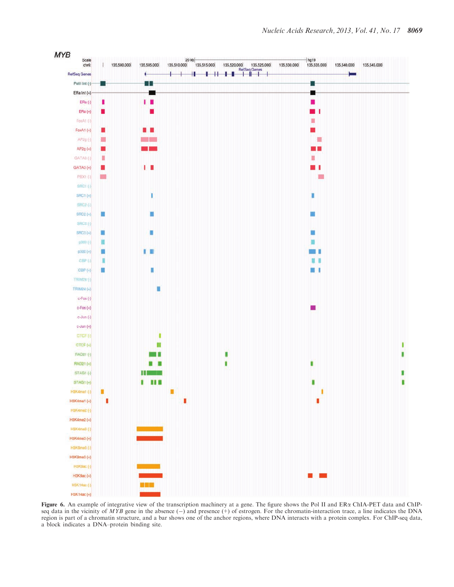<span id="page-8-0"></span>

Figure 6. An example of integrative view of the transcription machinery at a gene. The figure shows the Pol II and ER $\alpha$  ChIA-PET data and ChIPseq data in the vicinity of MYB gene in the absence  $(-)$  and presence  $(+)$  of estrogen. For the chromatin-interaction trace, a line indicates the DNA region is part of a chromatin structure, and a bar shows one of the anchor regions, where DNA interacts with a protein complex. For ChIP-seq data, a block indicates a DNA–protein binding site.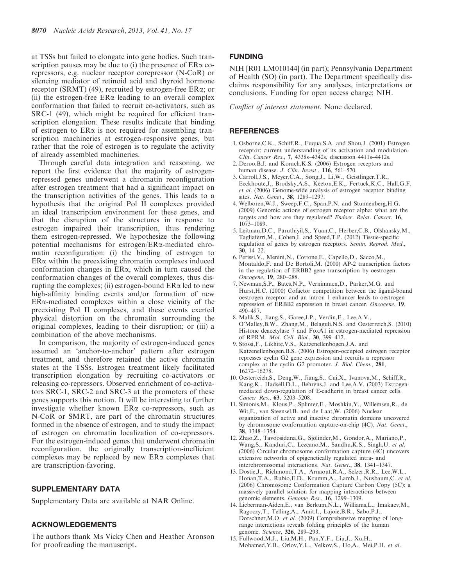<span id="page-9-0"></span>at TSSs but failed to elongate into gene bodies. Such transcription pauses may be due to (i) the presence of  $ER\alpha$  corepressors, e.g. nuclear receptor corepressor (N-CoR) or silencing mediator of retinoid acid and thyroid hormone receptor (SRMT) [\(49](#page-10-0)), recruited by estrogen-free ERa; or (ii) the estrogen-free  $ER\alpha$  leading to an overall complex conformation that failed to recruit co-activators, such as SRC-1 ([49\)](#page-10-0), which might be required for efficient transcription elongation. These results indicate that binding of estrogen to  $ER\alpha$  is not required for assembling transcription machineries at estrogen-responsive genes, but rather that the role of estrogen is to regulate the activity of already assembled machineries.

Through careful data integration and reasoning, we report the first evidence that the majority of estrogenrepressed genes underwent a chromatin reconfiguration after estrogen treatment that had a significant impact on the transcription activities of the genes. This leads to a hypothesis that the original Pol II complexes provided an ideal transcription environment for these genes, and that the disruption of the structures in response to estrogen impaired their transcription, thus rendering them estrogen-repressed. We hypothesize the following potential mechanisms for estrogen/ERa-mediated chromatin reconfiguration: (i) the binding of estrogen to  $ER\alpha$  within the preexisting chromatin complexes induced conformation changes in ERa, which in turn caused the conformation changes of the overall complexes, thus disrupting the complexes; (ii) estrogen-bound  $ER\alpha$  led to new high-affinity binding events and/or formation of new  $ER\alpha$ -mediated complexes within a close vicinity of the preexisting Pol II complexes, and these events exerted physical distortion on the chromatin surrounding the original complexes, leading to their disruption; or (iii) a combination of the above mechanisms.

In comparison, the majority of estrogen-induced genes assumed an 'anchor-to-anchor' pattern after estrogen treatment, and therefore retained the active chromatin states at the TSSs. Estrogen treatment likely facilitated transcription elongation by recruiting co-activators or releasing co-repressors. Observed enrichment of co-activators SRC-1, SRC-2 and SRC-3 at the promoters of these genes supports this notion. It will be interesting to further investigate whether known ERa co-repressors, such as N-CoR or SMRT, are part of the chromatin structures formed in the absence of estrogen, and to study the impact of estrogen on chromatin localization of co-repressors. For the estrogen-induced genes that underwent chromatin reconfiguration, the originally transcription-inefficient complexes may be replaced by new  $ER\alpha$  complexes that are transcription-favoring.

## SUPPLEMENTARY DATA

[Supplementary Data](http://nar.oxfordjournals.org/lookup/suppl/doi:10.1093/nar/gkt586/-/DC1) are available at NAR Online.

# ACKNOWLEDGEMENTS

The authors thank Ms Vicky Chen and Heather Aronson for proofreading the manuscript.

#### FUNDING

NIH [R01 LM010144] (in part); Pennsylvania Department of Health (SO) (in part). The Department specifically disclaims responsibility for any analyses, interpretations or conclusions. Funding for open access charge: NIH.

Conflict of interest statement. None declared.

#### **REFERENCES**

- 1. Osborne,C.K., Schiff,R., Fuqua,S.A. and Shou,J. (2001) Estrogen receptor: current understanding of its activation and modulation. Clin. Cancer Res., 7, 4338s–4342s, discussion 4411s–4412s.
- 2. Deroo,B.J. and Korach,K.S. (2006) Estrogen receptors and human disease. J. Clin. Invest., 116, 561–570.
- 3. Carroll,J.S., Meyer,C.A., Song,J., Li,W., Geistlinger,T.R., Eeckhoute,J., Brodsky,A.S., Keeton,E.K., Fertuck,K.C., Hall,G.F. et al. (2006) Genome-wide analysis of estrogen receptor binding sites. Nat. Genet., 38, 1289–1297.
- 4. Welboren,W.J., Sweep,F.C., Span,P.N. and Stunnenberg,H.G. (2009) Genomic actions of estrogen receptor alpha: what are the targets and how are they regulated? *Endocr. Relat. Cancer*, 16, 1073–1089.
- 5. Leitman,D.C., Paruthiyil,S., Yuan,C., Herber,C.B., Olshansky,M., Tagliaferri,M., Cohen,I. and Speed,T.P. (2012) Tissue-specific regulation of genes by estrogen receptors. Semin. Reprod. Med.,  $30, 14-22.$
- 6. Perissi,V., Menini,N., Cottone,E., Capello,D., Sacco,M., Montaldo,F. and De Bortoli,M. (2000) AP-2 transcription factors in the regulation of ERBB2 gene transcription by oestrogen. Oncogene, 19, 280–288.
- 7. Newman,S.P., Bates,N.P., Vernimmen,D., Parker,M.G. and Hurst,H.C. (2000) Cofactor competition between the ligand-bound oestrogen receptor and an intron 1 enhancer leads to oestrogen repression of ERBB2 expression in breast cancer. Oncogene, 19, 490–497.
- 8. Malik,S., Jiang,S., Garee,J.P., Verdin,E., Lee,A.V., O'Malley,B.W., Zhang,M., Belaguli,N.S. and Oesterreich,S. (2010) Histone deacetylase 7 and FoxA1 in estrogen-mediated repression of RPRM. Mol. Cell. Biol., 30, 399–412.
- 9. Stossi,F., Likhite,V.S., Katzenellenbogen,J.A. and Katzenellenbogen,B.S. (2006) Estrogen-occupied estrogen receptor represses cyclin G2 gene expression and recruits a repressor complex at the cyclin G2 promoter. J. Biol. Chem., 281, 16272–16278.
- 10. Oesterreich,S., Deng,W., Jiang,S., Cui,X., Ivanova,M., Schiff,R., Kang,K., Hadsell,D.L., Behrens,J. and Lee,A.V. (2003) Estrogenmediated down-regulation of E-cadherin in breast cancer cells. Cancer Res., 63, 5203–5208.
- 11. Simonis,M., Klous,P., Splinter,E., Moshkin,Y., Willemsen,R., de Wit,E., van Steensel,B. and de Laat,W. (2006) Nuclear organization of active and inactive chromatin domains uncovered by chromosome conformation capture-on-chip (4C). Nat. Genet., 38, 1348–1354.
- 12. Zhao,Z., Tavoosidana,G., Sjolinder,M., Gondor,A., Mariano,P., Wang,S., Kanduri,C., Lezcano,M., Sandhu,K.S., Singh,U. et al. (2006) Circular chromosome conformation capture (4C) uncovers extensive networks of epigenetically regulated intra- and interchromosomal interactions. Nat. Genet., 38, 1341–1347.
- 13. Dostie,J., Richmond,T.A., Arnaout,R.A., Selzer,R.R., Lee,W.L., Honan,T.A., Rubio,E.D., Krumm,A., Lamb,J., Nusbaum,C. et al. (2006) Chromosome Conformation Capture Carbon Copy (5C): a massively parallel solution for mapping interactions between genomic elements. Genome Res., 16, 1299–1309.
- 14. Lieberman-Aiden,E., van Berkum,N.L., Williams,L., Imakaev,M., Ragoczy,T., Telling,A., Amit,I., Lajoie,B.R., Sabo,P.J., Dorschner,M.O. et al. (2009) Comprehensive mapping of longrange interactions reveals folding principles of the human genome. Science, 326, 289–293.
- 15. Fullwood,M.J., Liu,M.H., Pan,Y.F., Liu,J., Xu,H., Mohamed,Y.B., Orlov,Y.L., Velkov,S., Ho,A., Mei,P.H. et al.